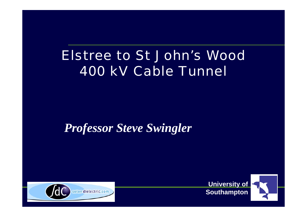# Elstree to St John's Wood 400 kV Cable Tunnel

#### *Professor Steve Swingler*



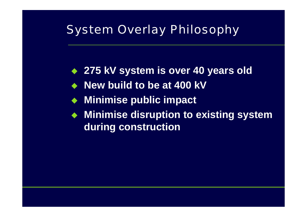#### System Overlay Philosophy

- ◆ 275 kV system is over 40 years old
- ◆ New build to be at 400 kV
- $\blacklozenge$ **Minimise public impact**
- **Minimise disruption to existing system during construction**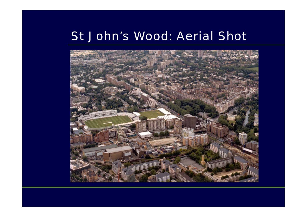#### St John's Wood: Aerial Shot

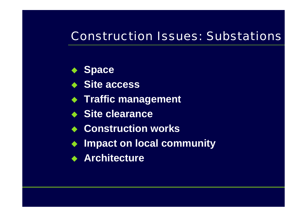#### Construction Issues: Substations

- **Space**
- **Site access**
- **Traffic management**
- **Site clearance**
- **Construction works**
- **Impact on local community**
- **Architecture**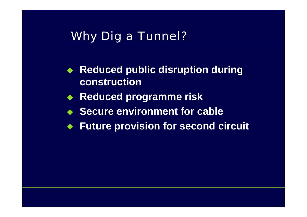#### Why Dig a Tunnel?

- **Reduced public disruption during construction**
- $\blacklozenge$ **Reduced programme risk**
- **Secure environment for cable**
- $\blacklozenge$ **Future provision for second circuit**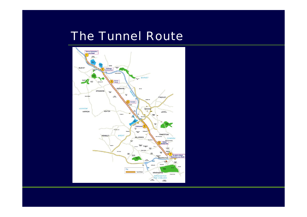#### The Tunnel Route

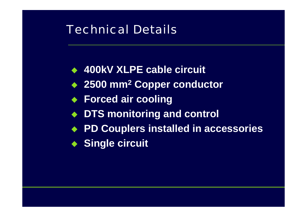#### Technical Details

- **400kV XLPE cable circuit**
- **2500 mm 2 Copper conductor**
- **Forced air cooling**
- **DTS monitoring and control**
- **PD Couplers installed in accessories**
- **Single circuit**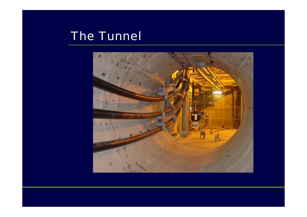# The Tunnel

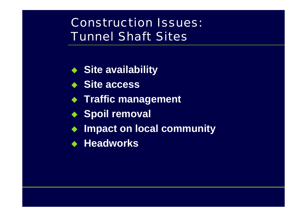# Construction Issues: Tunnel Shaft Sites

- **Site availability**
- **Site access**
- **Traffic management**
- **Spoil removal**
- $\blacklozenge$ **Impact on local community**
- **Headworks**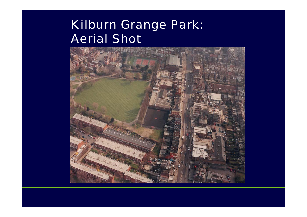# Kilburn Grange Park: Aerial Shot

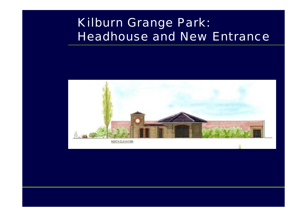# Kilburn Grange Park: Headhouse and New Entrance

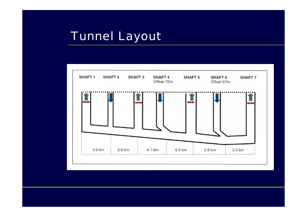# Tunnel Layout

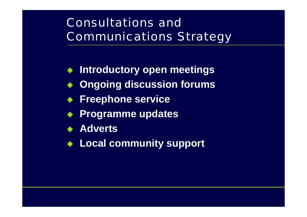# Consultations and Communications Strategy

- $\blacklozenge$ **Introductory open meetings**
- **Ongoing discussion forums**
- **Freephone service**
- **Programme updates**
- **Adverts**
- **Local community support**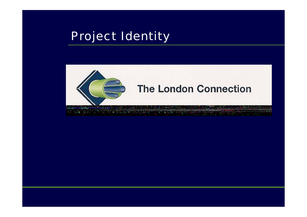#### Project Identity



#### **The London Connection**

ショックロート・ディング ディング・エンジー en de la Service de la Communista **Contractor**  $\sim$ children in  $\mathcal{R}^{\text{H}}(\mathcal{V})$  ,  $\mathcal{R}$